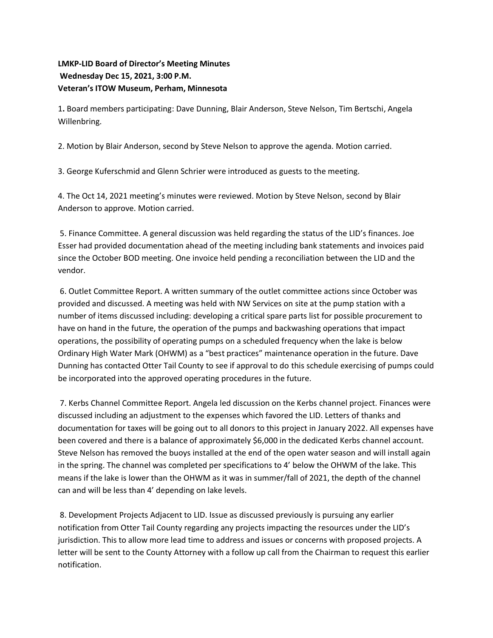## **LMKP-LID Board of Director's Meeting Minutes Wednesday Dec 15, 2021, 3:00 P.M. Veteran's ITOW Museum, Perham, Minnesota**

1**.** Board members participating: Dave Dunning, Blair Anderson, Steve Nelson, Tim Bertschi, Angela Willenbring.

2. Motion by Blair Anderson, second by Steve Nelson to approve the agenda. Motion carried.

3. George Kuferschmid and Glenn Schrier were introduced as guests to the meeting.

4. The Oct 14, 2021 meeting's minutes were reviewed. Motion by Steve Nelson, second by Blair Anderson to approve. Motion carried.

5. Finance Committee. A general discussion was held regarding the status of the LID's finances. Joe Esser had provided documentation ahead of the meeting including bank statements and invoices paid since the October BOD meeting. One invoice held pending a reconciliation between the LID and the vendor.

6. Outlet Committee Report. A written summary of the outlet committee actions since October was provided and discussed. A meeting was held with NW Services on site at the pump station with a number of items discussed including: developing a critical spare parts list for possible procurement to have on hand in the future, the operation of the pumps and backwashing operations that impact operations, the possibility of operating pumps on a scheduled frequency when the lake is below Ordinary High Water Mark (OHWM) as a "best practices" maintenance operation in the future. Dave Dunning has contacted Otter Tail County to see if approval to do this schedule exercising of pumps could be incorporated into the approved operating procedures in the future.

7. Kerbs Channel Committee Report. Angela led discussion on the Kerbs channel project. Finances were discussed including an adjustment to the expenses which favored the LID. Letters of thanks and documentation for taxes will be going out to all donors to this project in January 2022. All expenses have been covered and there is a balance of approximately \$6,000 in the dedicated Kerbs channel account. Steve Nelson has removed the buoys installed at the end of the open water season and will install again in the spring. The channel was completed per specifications to 4' below the OHWM of the lake. This means if the lake is lower than the OHWM as it was in summer/fall of 2021, the depth of the channel can and will be less than 4' depending on lake levels.

8. Development Projects Adjacent to LID. Issue as discussed previously is pursuing any earlier notification from Otter Tail County regarding any projects impacting the resources under the LID's jurisdiction. This to allow more lead time to address and issues or concerns with proposed projects. A letter will be sent to the County Attorney with a follow up call from the Chairman to request this earlier notification.